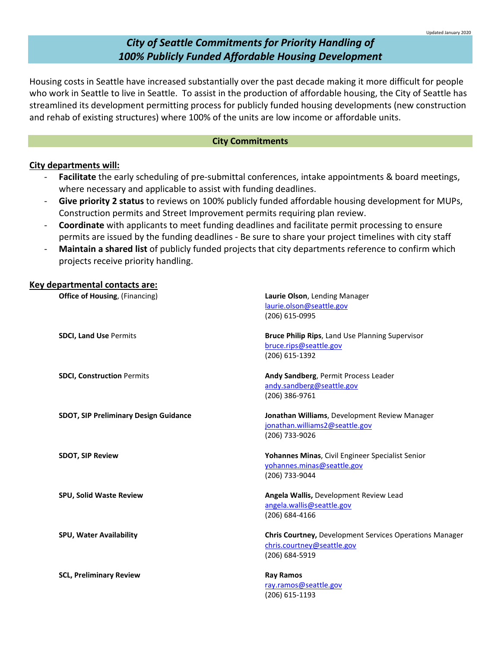# *City of Seattle Commitments for Priority Handling of 100% Publicly Funded Affordable Housing Development*

Housing costs in Seattle have increased substantially over the past decade making it more difficult for people who work in Seattle to live in Seattle. To assist in the production of affordable housing, the City of Seattle has streamlined its development permitting process for publicly funded housing developments (new construction and rehab of existing structures) where 100% of the units are low income or affordable units.

# **City Commitments**

# **City departments will:**

- **Facilitate** the early scheduling of pre-submittal conferences, intake appointments & board meetings, where necessary and applicable to assist with funding deadlines.
- **Give priority 2 status** to reviews on 100% publicly funded affordable housing development for MUPs, Construction permits and Street Improvement permits requiring plan review.
- **Coordinate** with applicants to meet funding deadlines and facilitate permit processing to ensure permits are issued by the funding deadlines - Be sure to share your project timelines with city staff
- **Maintain a shared list** of publicly funded projects that city departments reference to confirm which projects receive priority handling.

# **Key departmental contacts are: Office of Housing**, (Financing) **Laurie Olson**, Lending Manager [laurie.olson@seattle.gov](mailto:laurie.olson@seattle.gov) (206) 615-0995 **SDCI, Land Use** Permits **Bruce Philip Rips**, Land Use Planning Supervisor [bruce.rips@seattle.gov](mailto:bruce.rips@seattle.gov) (206) 615-1392 **SDCI, Construction** Permits **Andy Sandberg**, Permit Process Leader [andy.sandberg@seattle.gov](mailto:andy.sandberg@seattle.gov) (206) 386-9761 **SDOT, SIP Preliminary Design Guidance Jonathan Williams**, Development Review Manager [jonathan.williams2@seattle.gov](mailto:jonathan.williams2@seattle.gov) (206) 733-9026 **SDOT, SIP Review Yohannes Minas**, Civil Engineer Specialist Senior [yohannes.minas@seattle.gov](mailto:yohannes.minas@seattle.gov) (206) 733-9044 **SPU, Solid Waste Review Angela Wallis,** Development Review Lead [angela.wallis@seattle.gov](mailto:angela.wallis@seattle.gov) (206) 684-4166 **SPU, Water Availability Chris Courtney,** Development Services Operations Manager [chris.courtney@seattle.gov](mailto:chris.courtney@seattle.gov) (206) 684-5919 **SCL, Preliminary Review <b>Ray Ramos Ray Ramos** [ray.ramos@seattle.gov](mailto:ray.ramos@seattle.gov) (206) 615-1193